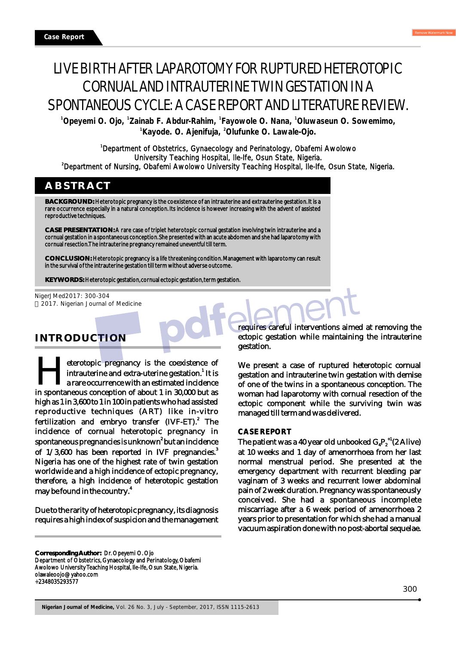# LIVE BIRTH AFTER LAPAROTOMY FOR RUPTURED HETEROTOPIC CORNUAL AND INTRAUTERINE TWIN GESTATION IN A SPONTANEOUS CYCLE: A CASE REPORT AND LITERATURE REVIEW.

**1 1 1 1 Opeyemi O. Ojo, Zainab F. Abdur-Rahim, Fayowole O. Nana, Oluwaseun O. Sowemimo, 1 2 Kayode. O. Ajenifuja, Olufunke O. Lawale-Ojo.**

<sup>1</sup>Department of Obstetrics, Gynaecology and Perinatology, Obafemi Awolowo University Teaching Hospital, Ile-Ife, Osun State, Nigeria. <sup>2</sup>Department of Nursing, Obafemi Awolowo University Teaching Hospital, Ile-Ife, Osun State, Nigeria.

### **ABSTRACT**

**BACKGROUND:** Heterotopic pregnancy is the coexistence of an intrauterine and extrauterine gestation. It is a rare occurrence especially in a natural conception. Its incidence is however increasing with the advent of assisted reproductive techniques.

**CASE PRESENTATION:** A rare case of triplet heterotopic cornual gestation involving twin intrauterine and a cornual gestation in a spontaneous conception. She presented with an acute abdomen and she had laparotomy with cornual resection. The intrauterine pregnancy remained uneventful till term.

**CONCLUSION:** Heterotopic pregnancy is a life threatening condition. Management with laparotomy can result in the survival of the intrauterine gestation till term without adverse outcome.

**KEYWORDS:** Heterotopic gestation, cornual ectopic gestation, term gestation.

NigerJMed2017: 300-304 2017. Nigerian Journal of Medicine

## **INTRODUCTION**

eterotopic pregnancy is the coexistence of **1 Hintrauterine and extra-uterine gestation.**<sup>1</sup> It is a rare occurrence with an estimated incidence in spontaneous conception of about 1 in 30,000 but as a rare occurrence with an estimated incidence high as 1 in 3,600 to 1 in 100 in patients who had assisted reproductive techniques (ART) like in-vitro fertilization and embryo transfer (IVF-ET).<sup>2</sup> The incidence of cornual heterotopic pregnancy in spontaneous pregnancies is unknown $\degree$  but an incidence of  $1/3,600$  has been reported in IVF pregnancies.<sup>3</sup> Nigeria has one of the highest rate of twin gestation worldwide and a high incidence of ectopic pregnancy, therefore, a high incidence of heterotopic gestation may be found in the country.<sup>4</sup>

Due to the rarity of heterotopic pregnancy, its diagnosis requires a high index of suspicion and the management requires careful interventions aimed at removing the ectopic gestation while maintaining the intrauterine gestation.

We present a case of ruptured heterotopic cornual gestation and intrauterine twin gestation with demise of one of the twins in a spontaneous conception. The woman had laparotomy with cornual resection of the ectopic component while the surviving twin was managed till term and was delivered.

#### **CASE REPORT**

The patient was a 40 year old unbooked  $G_4P_2^{\{+1\}}(2 \text{ Alive})$ at 10 weeks and 1 day of amenorrhoea from her last normal menstrual period. She presented at the emergency department with recurrent bleeding par vaginam of 3 weeks and recurrent lower abdominal pain of 2 week duration. Pregnancy was spontaneously conceived. She had a spontaneous incomplete miscarriage after a 6 week period of amenorrhoea 2 years prior to presentation for which she had a manual vacuum aspiration done with no post-abortal sequelae.

**Corresponding Author:** Dr. Opeyemi O. Ojo Department of Obstetrics, Gynaecology and Perinatology, Obafemi Awolowo University Teaching Hospital, Ile-Ife, Osun State, Nigeria. olawaleoojo@yahoo.com +2348035293577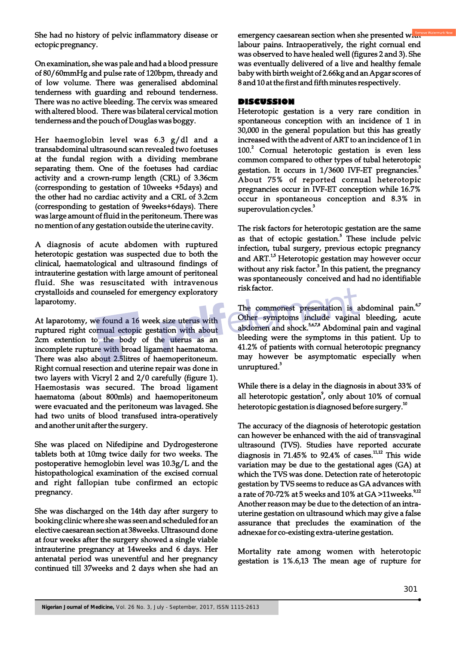She had no history of pelvic inflammatory disease or ectopic pregnancy.

On examination, she was pale and had a blood pressure of 80/60mmHg and pulse rate of 120bpm, thready and of low volume. There was generalised abdominal tenderness with guarding and rebound tenderness. There was no active bleeding. The cervix was smeared with altered blood. There was bilateral cervical motion tenderness and the pouch of Douglas was boggy.

Her haemoglobin level was 6.3 g/dl and a transabdominal ultrasound scan revealed two foetuses at the fundal region with a dividing membrane separating them. One of the foetuses had cardiac activity and a crown-rump length (CRL) of 3.36cm (corresponding to gestation of 10weeks +5days) and the other had no cardiac activity and a CRL of 3.2cm (corresponding to gestation of 9weeks+6days). There was large amount of fluid in the peritoneum. There was no mention of any gestation outside the uterine cavity.

A diagnosis of acute abdomen with ruptured heterotopic gestation was suspected due to both the clinical, haematological and ultrasound findings of intrauterine gestation with large amount of peritoneal fluid. She was resuscitated with intravenous crystalloids and counseled for emergency exploratory laparotomy.

At laparotomy, we found a 16 week size uterus with ruptured right cornual ectopic gestation with about 2cm extention to the body of the uterus as an incomplete rupture with broad ligament haematoma. There was also about 2.5litres of haemoperitoneum. Right cornual resection and uterine repair was done in two layers with Vicryl 2 and 2/0 carefully (figure 1). Haemostasis was secured. The broad ligament haematoma (about 800mls) and haemoperitoneum were evacuated and the peritoneum was lavaged. She had two units of blood transfused intra-operatively and another unit after the surgery.

She was placed on Nifedipine and Dydrogesterone tablets both at 10mg twice daily for two weeks. The postoperative hemoglobin level was 10.3g/L and the histopathological examination of the excised cornual and right fallopian tube confirmed an ectopic pregnancy.

She was discharged on the 14th day after surgery to booking clinic where she was seen and scheduled for an elective caesarean section at 38weeks. Ultrasound done at four weeks after the surgery showed a single viable intrauterine pregnancy at 14weeks and 6 days. Her antenatal period was uneventful and her pregnancy continued till 37weeks and 2 days when she had an emergency caesarean section when she presented with labour pains. Intraoperatively, the right cornual end was observed to have healed well (figures 2 and 3). She was eventually delivered of a live and healthy female baby with birth weight of 2.66kg and an Apgar scores of 8 and 10 at the first and fifth minutes respectively.

#### **DISCUSSION**

Heterotopic gestation is a very rare condition in spontaneous conception with an incidence of 1 in 30,000 in the general population but this has greatly increased with the advent of ART to an incidence of 1 in 100.<sup>2</sup> Cornual heterotopic gestation is even less common compared to other types of tubal heterotopic gestation. It occurs in 1/3600 IVF-ET pregnancies.<sup>3</sup> About 75% of reported cornual heterotopic pregnancies occur in IVF-ET conception while 16.7% occur in spontaneous conception and 8.3% in superovulation cycles.<sup>3</sup>

The risk factors for heterotopic gestation are the same as that of ectopic gestation.<sup>5</sup> These include pelvic infection, tubal surgery, previous ectopic pregnancy and ART.<sup>1,5</sup> Heterotopic gestation may however occur without any risk factor. $3$  In this patient, the pregnancy was spontaneously conceived and had no identifiable risk factor.

The commonest presentation is abdominal pain.<sup>6,7</sup> Other symptoms include vaginal bleeding, acute abdomen and shock.<sup>5,6,7,8</sup> Abdominal pain and vaginal bleeding were the symptoms in this patient. Up to 41.2% of patients with cornual heterotopic pregnancy may however be asymptomatic especially when unruptured.<sup>3</sup>

While there is a delay in the diagnosis in about 33% of all heterotopic gestation<sup>9</sup>, only about 10% of cornual heterotopic gestation is diagnosed before surgery.<sup>10</sup>

The accuracy of the diagnosis of heterotopic gestation can however be enhanced with the aid of transvaginal ultrasound (TVS). Studies have reported accurate diagnosis in 71.45% to 92.4% of cases.<sup>11,12</sup> This wide variation may be due to the gestational ages (GA) at which the TVS was done. Detection rate of heterotopic gestation by TVS seems to reduce as GA advances with a rate of 70-72% at 5 weeks and 10% at GA >11weeks. $^{9,12}$ Another reason may be due to the detection of an intrauterine gestation on ultrasound which may give a false assurance that precludes the examination of the adnexae for co-existing extra-uterine gestation.

Mortality rate among women with heterotopic gestation is 1%.6,13 The mean age of rupture for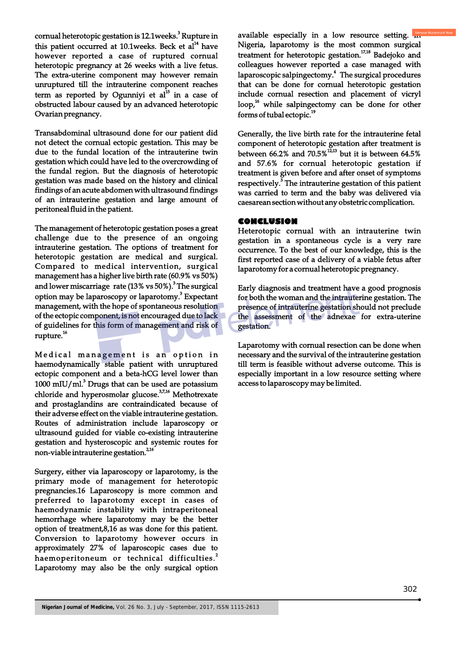cornual heterotopic gestation is 12.1weeks.<sup>3</sup> Rupture in this patient occurred at 10.1weeks. Beck et  $al<sup>14</sup>$  have however reported a case of ruptured cornual heterotopic pregnancy at 26 weeks with a live fetus. The extra-uterine component may however remain unruptured till the intrauterine component reaches  $1$ term as reported by Ogunniyi et al $1^{15}$  in a case of obstructed labour caused by an advanced heterotopic Ovarian pregnancy.

Transabdominal ultrasound done for our patient did not detect the cornual ectopic gestation. This may be due to the fundal location of the intrauterine twin gestation which could have led to the overcrowding of the fundal region. But the diagnosis of heterotopic gestation was made based on the history and clinical findings of an acute abdomen with ultrasound findings of an intrauterine gestation and large amount of peritoneal fluid in the patient.

The management of heterotopic gestation poses a great challenge due to the presence of an ongoing intrauterine gestation. The options of treatment for heterotopic gestation are medical and surgical. Compared to medical intervention, surgical management has a higher live birth rate (60.9% vs 50%) and lower miscarriage rate (13% vs 50%).<sup>3</sup> The surgical option may be laparoscopy or laparotomy.<sup>3</sup> Expectant management, with the hope of spontaneous resolution of the ectopic component, is not encouraged due to lack of guidelines for this form of management and risk of rupture.<sup>16</sup>

Medical management is an option in haemodynamically stable patient with unruptured ectopic component and a beta-hCG level lower than 1000 mIU/ml. $^3$  Drugs that can be used are potassium chloride and hyperosmolar glucose. $37,16$  Methotrexate and prostaglandins are contraindicated because of their adverse effect on the viable intrauterine gestation. Routes of administration include laparoscopy or ultrasound guided for viable co-existing intrauterine gestation and hysteroscopic and systemic routes for non-viable intrauterine gestation.<sup>2,16</sup>

Surgery, either via laparoscopy or laparotomy, is the primary mode of management for heterotopic pregnancies.16 Laparoscopy is more common and preferred to laparotomy except in cases of haemodynamic instability with intraperitoneal hemorrhage where laparotomy may be the better option of treatment,8,16 as was done for this patient. Conversion to laparotomy however occurs in approximately 27% of laparoscopic cases due to haemoperitoneum or technical difficulties.<sup>2</sup> Laparotomy may also be the only surgical option

available especially in a low resource setting. **In** Nigeria, laparotomy is the most common surgical treatment for heterotopic gestation. $17,18$  Badejoko and colleagues however reported a case managed with laparoscopic salpingectomy.<sup>4</sup> The surgical procedures that can be done for cornual heterotopic gestation include cornual resection and placement of vicryl loop,<sup>16</sup> while salpingectomy can be done for other forms of tubal ectopic.<sup>19</sup>

Generally, the live birth rate for the intrauterine fetal component of heterotopic gestation after treatment is between 66.2% and  $70.5\%$ <sup>12,13</sup> but it is between 64.5% and 57.6% for cornual heterotopic gestation if treatment is given before and after onset of symptoms respectively.<sup>3</sup> The intrauterine gestation of this patient was carried to term and the baby was delivered via caesarean section without any obstetric complication.

#### **CONCLUSION**

Heterotopic cornual with an intrauterine twin gestation in a spontaneous cycle is a very rare occurrence. To the best of our knowledge, this is the first reported case of a delivery of a viable fetus after laparotomy for a cornual heterotopic pregnancy.

Early diagnosis and treatment have a good prognosis for both the woman and the intrauterine gestation. The presence of intrauterine gestation should not preclude the assessment of the adnexae for extra-uterine gestation.

Laparotomy with cornual resection can be done when necessary and the survival of the intrauterine gestation till term is feasible without adverse outcome. This is especially important in a low resource setting where access to laparoscopy may be limited.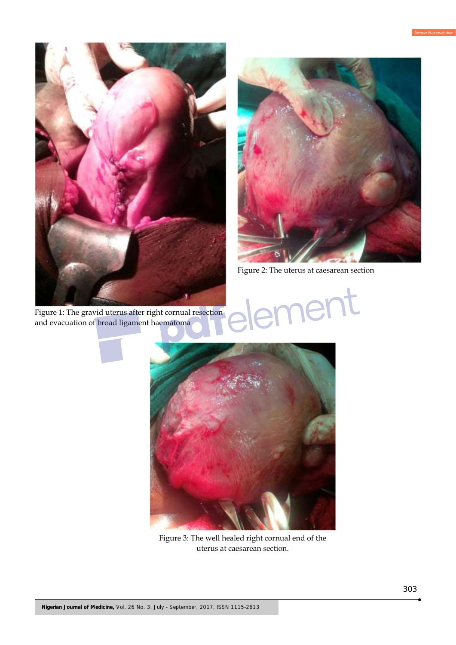

Figure 1: The gravid uterus after right cornual resection and evacuation of broad ligament haematoma



lent

Figure 2: The uterus at caesarean section

Figure 3: The well healed right cornual end of the uterus at caesarean section.